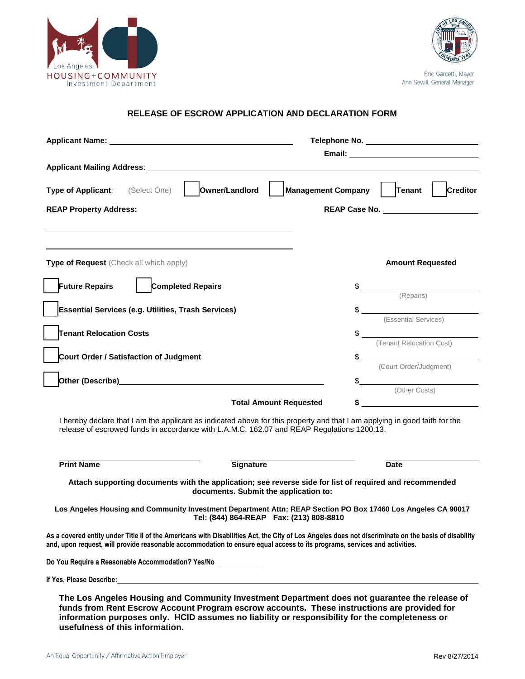



Eric Garcetti, Mayor Ann Sewill, General Manager

# **RELEASE OF ESCROW APPLICATION AND DECLARATION FORM**

| Applicant Name: Name: Name and Applicant Name and Applicant Name and Applicant Manual Applicant Manual Applicant Manual Applicant Manual Applicant Manual Applicant Manual Applicant Manual Applicant Manual Applicant Manual                                                                  |                                                                                                                                                                                                                                                                                                                                                                                                                                                                  |
|------------------------------------------------------------------------------------------------------------------------------------------------------------------------------------------------------------------------------------------------------------------------------------------------|------------------------------------------------------------------------------------------------------------------------------------------------------------------------------------------------------------------------------------------------------------------------------------------------------------------------------------------------------------------------------------------------------------------------------------------------------------------|
|                                                                                                                                                                                                                                                                                                |                                                                                                                                                                                                                                                                                                                                                                                                                                                                  |
|                                                                                                                                                                                                                                                                                                |                                                                                                                                                                                                                                                                                                                                                                                                                                                                  |
| Owner/Landlord<br>Type of Applicant:<br>(Select One)                                                                                                                                                                                                                                           | Tenant  <br><b>Creditor</b><br>Management Company                                                                                                                                                                                                                                                                                                                                                                                                                |
| <b>REAP Property Address:</b>                                                                                                                                                                                                                                                                  | REAP Case No.                                                                                                                                                                                                                                                                                                                                                                                                                                                    |
|                                                                                                                                                                                                                                                                                                |                                                                                                                                                                                                                                                                                                                                                                                                                                                                  |
|                                                                                                                                                                                                                                                                                                |                                                                                                                                                                                                                                                                                                                                                                                                                                                                  |
|                                                                                                                                                                                                                                                                                                |                                                                                                                                                                                                                                                                                                                                                                                                                                                                  |
| Type of Request (Check all which apply)                                                                                                                                                                                                                                                        | <b>Amount Requested</b>                                                                                                                                                                                                                                                                                                                                                                                                                                          |
| <b>Completed Repairs</b><br><b>Future Repairs</b>                                                                                                                                                                                                                                              |                                                                                                                                                                                                                                                                                                                                                                                                                                                                  |
|                                                                                                                                                                                                                                                                                                | $\begin{tabular}{c} \hline \end{tabular} \begin{tabular}{c} \multicolumn{2}{c} \textbf{8} & \multicolumn{2}{c} \textbf{5} & \multicolumn{2}{c} \textbf{6} & \multicolumn{2}{c} \textbf{6} & \multicolumn{2}{c} \textbf{6} & \multicolumn{2}{c} \textbf{6} & \multicolumn{2}{c} \textbf{7} & \multicolumn{2}{c} \textbf{8} & \multicolumn{2}{c} \textbf{8} & \multicolumn{2}{c} \textbf{9} & \multicolumn{2}{c} \textbf{10} & \multicolumn{2}{c} \textbf{11} & \$ |
| Essential Services (e.g. Utilities, Trash Services)                                                                                                                                                                                                                                            | $\mathsf S$                                                                                                                                                                                                                                                                                                                                                                                                                                                      |
|                                                                                                                                                                                                                                                                                                | (Essential Services)                                                                                                                                                                                                                                                                                                                                                                                                                                             |
| Tenant Relocation Costs                                                                                                                                                                                                                                                                        | \$<br>(Tenant Relocation Cost)                                                                                                                                                                                                                                                                                                                                                                                                                                   |
| Court Order / Satisfaction of Judgment                                                                                                                                                                                                                                                         | $\frac{1}{2}$                                                                                                                                                                                                                                                                                                                                                                                                                                                    |
|                                                                                                                                                                                                                                                                                                | (Court Order/Judgment)                                                                                                                                                                                                                                                                                                                                                                                                                                           |
| Other (Describe) Management Control of the Control of the Control of the Control of the Control of the Control of the Control of the Control of the Control of the Control of the Control of the Control of the Control of the                                                                 | \$                                                                                                                                                                                                                                                                                                                                                                                                                                                               |
| <b>Total Amount Requested</b>                                                                                                                                                                                                                                                                  | (Other Costs)<br><u>and the state of the state of the state of the state of the state of the state of the state of the state of the state of the state of the state of the state of the state of the state of the state of the state of the state</u><br>\$                                                                                                                                                                                                      |
| I hereby declare that I am the applicant as indicated above for this property and that I am applying in good faith for the                                                                                                                                                                     |                                                                                                                                                                                                                                                                                                                                                                                                                                                                  |
| release of escrowed funds in accordance with L.A.M.C. 162.07 and REAP Regulations 1200.13.                                                                                                                                                                                                     |                                                                                                                                                                                                                                                                                                                                                                                                                                                                  |
|                                                                                                                                                                                                                                                                                                |                                                                                                                                                                                                                                                                                                                                                                                                                                                                  |
| <b>Print Name</b><br>Signature                                                                                                                                                                                                                                                                 | <b>Date</b>                                                                                                                                                                                                                                                                                                                                                                                                                                                      |
| Attach supporting documents with the application; see reverse side for list of required and recommended                                                                                                                                                                                        |                                                                                                                                                                                                                                                                                                                                                                                                                                                                  |
| documents. Submit the application to:                                                                                                                                                                                                                                                          |                                                                                                                                                                                                                                                                                                                                                                                                                                                                  |
| Los Angeles Housing and Community Investment Department Attn: REAP Section PO Box 17460 Los Angeles CA 90017                                                                                                                                                                                   |                                                                                                                                                                                                                                                                                                                                                                                                                                                                  |
| As a covered entity under Title II of the Americans with Disabilities Act, the City of Los Angeles does not discriminate on the basis of disability<br>and, upon request, will provide reasonable accommodation to ensure equal access to its programs, services and activities.               |                                                                                                                                                                                                                                                                                                                                                                                                                                                                  |
| Do You Require a Reasonable Accommodation? Yes/No _____________                                                                                                                                                                                                                                |                                                                                                                                                                                                                                                                                                                                                                                                                                                                  |
|                                                                                                                                                                                                                                                                                                |                                                                                                                                                                                                                                                                                                                                                                                                                                                                  |
| The Los Angeles Housing and Community Investment Department does not guarantee the release of<br>funds from Rent Escrow Account Program escrow accounts. These instructions are provided for<br>information purposes only. HCID assumes no liability or responsibility for the completeness or |                                                                                                                                                                                                                                                                                                                                                                                                                                                                  |